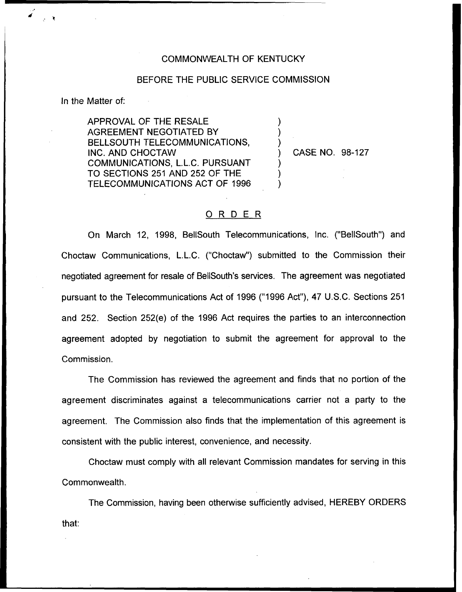## COMMONWEALTH OF KENTUCKY

## BEFORE THE PUBLIC SERVICE COMMISSION

) ) )

) ) )

In the Matter of:

APPROVAL OF THE RESALE AGREEMENT NEGOTIATED BY BELLSOUTH TELECOMMUNICATIONS, INC. AND CHOCTAW COMMUNICATIONS, L.L.C. PURSUANT TO SECTIONS 251 AND 252 OF THE TELECOMMUNICATIONS ACT OF 1996

) CASE NO. 98-127

## 0 <sup>R</sup> <sup>D</sup> <sup>E</sup> <sup>R</sup>

On March 12, 1998, BellSouth Telecommunications, Inc. ("BellSouth") and Choctaw Communications, L.L.C. ("Choctaw") submitted to the Commission thei negotiated agreement for resale of BellSouth's services. The agreement was negotiated pursuant to the Telecommunications Act of 1996 ("1996Act"), 4? U.S.C. Sections 251 and 252. Section 252(e) of the 1996 Act requires the parties to an interconnection agreement adopted by negotiation to submit the agreement for approval to the Commission.

The Commission has reviewed the agreement and finds that no portion of the agreement discriminates against a telecommunications carrier not a party to the agreement. The Commission also finds that the implementation of this agreement is consistent with the public interest, convenience, and necessity.

Choctaw must comply with all relevant Commission mandates for serving in this Commonwealth,

The Commission, having been otherwise sufficiently advised, HEREBY ORDERSthat: